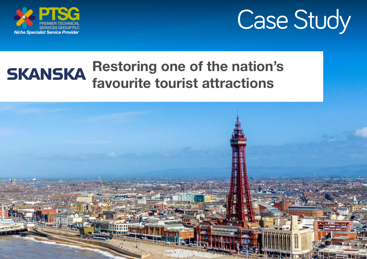



### Restoring one of the nation's **SKANSKA** favourite tourist attractions

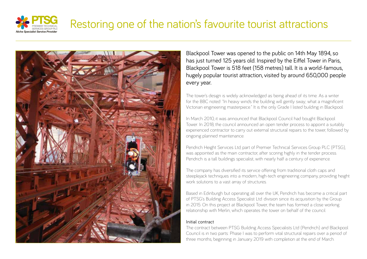

### Restoring one of the nation's favourite tourist attractions



Blackpool Tower was opened to the public on 14th May 1894, so has just turned 125 years old. Inspired by the Eiffel Tower in Paris, Blackpool Tower is 518 feet (158 metres) tall. It is a world-famous, hugely popular tourist attraction, visited by around 650,000 people every year.

The tower's design is widely acknowledged as being ahead of its time. As a writer for the BBC noted: "In heavy winds the building will gently sway; what a magnificent Victorian engineering masterpiece." It is the only Grade I listed building in Blackpool.

In March 2010, it was announced that Blackpool Council had bought Blackpool Tower. In 2018, the council announced an open tender process to appoint a suitably experienced contractor to carry out external structural repairs to the tower, followed by ongoing planned maintenance.

Pendrich Height Services Ltd, part of Premier Technical Services Group PLC (PTSG), was appointed as the main contractor, after scoring highly in the tender process. Pendrich is a tall buildings specialist, with nearly half a century of experience.

The company has diversified its service offering from traditional cloth caps and steeplejack techniques into a modern, high-tech engineering company, providing height work solutions to a vast array of structures.

Based in Edinburgh but operating all over the UK, Pendrich has become a critical part of PTSG's Building Access Specialist Ltd. division since its acquisition by the Group in 2015. On this project at Blackpool Tower, the team has formed a close working relationship with Merlin, which operates the tower on behalf of the council.

#### Initial contract

The contract between PTSG Building Access Specialists Ltd (Pendrich) and Blackpool Council is in two parts: Phase I was to perform vital structural repairs over a period of three months, beginning in January 2019 with completion at the end of March.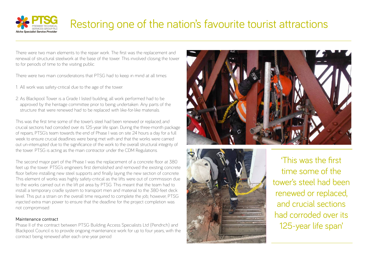

# Restoring one of the nation's favourite tourist attractions

There were two main elements to the repair work. The first was the replacement and renewal of structural steelwork at the base of the tower. This involved closing the tower to for periods of time to the visiting public.

There were two main considerations that PTSG had to keep in mind at all times:

- 1. All work was safety-critical due to the age of the tower.
- 2. As Blackpool Tower is a Grade I listed building, all work performed had to be approved by the heritage committee prior to being undertaken. Any parts of the structure that were renewed had to be replaced with like-for-like materials.

This was the first time some of the tower's steel had been renewed or replaced, and crucial sections had corroded over its 125-year life span. During the three-month package of repairs, PTSG's team towards the end of Phase I was on site 24 hours a day for a full week to ensure crucial deadlines were being met with and that the works were carried out un-interrupted due to the significance of the work to the overall structural integrity of the tower. PTSG is acting as the main contractor under the CDM Regulations.

The second major part of the Phase I was the replacement of a concrete floor at 380 feet up the tower. PTSG's engineers first demolished and removed the existing concrete floor before installing new steel supports and finally laying the new section of concrete. This element of works was highly safety-critical as the lifts were out of commission due to the works carried out in the lift pit area by PTSG. This meant that the team had to install a temporary cradle system to transport men and material to the 380-feet deck level. This put a strain on the overall time required to complete the job; however, PTSG injected extra man power to ensure that the deadline for the project completion was not compromised.

#### Maintenance contract

Phase II of the contract between PTSG Building Access Specialists Ltd (Pendrich) and Blackpool Council is to provide ongoing maintenance work for up to four years, with the contract being renewed after each one-year period.





'This was the first time some of the tower's steel had been renewed or replaced, and crucial sections had corroded over its 125-year life span'